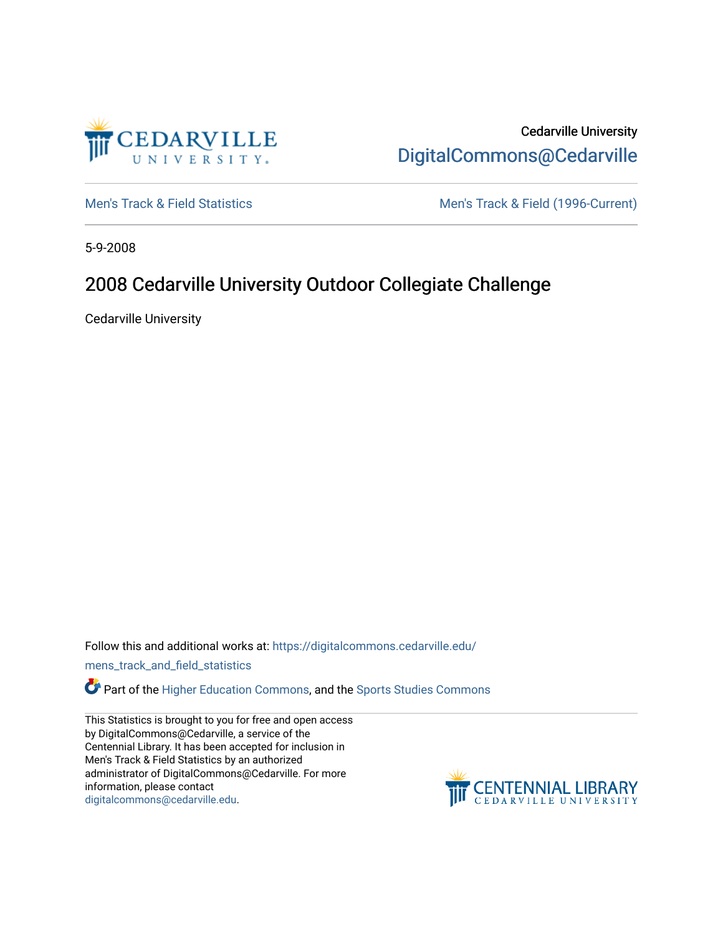

Cedarville University [DigitalCommons@Cedarville](https://digitalcommons.cedarville.edu/) 

[Men's Track & Field Statistics](https://digitalcommons.cedarville.edu/mens_track_and_field_statistics) [Men's Track & Field \(1996-Current\)](https://digitalcommons.cedarville.edu/mens_track_and_field) 

5-9-2008

# 2008 Cedarville University Outdoor Collegiate Challenge

Cedarville University

Follow this and additional works at: [https://digitalcommons.cedarville.edu/](https://digitalcommons.cedarville.edu/mens_track_and_field_statistics?utm_source=digitalcommons.cedarville.edu%2Fmens_track_and_field_statistics%2F200&utm_medium=PDF&utm_campaign=PDFCoverPages)

[mens\\_track\\_and\\_field\\_statistics](https://digitalcommons.cedarville.edu/mens_track_and_field_statistics?utm_source=digitalcommons.cedarville.edu%2Fmens_track_and_field_statistics%2F200&utm_medium=PDF&utm_campaign=PDFCoverPages)

**Part of the [Higher Education Commons,](http://network.bepress.com/hgg/discipline/1245?utm_source=digitalcommons.cedarville.edu%2Fmens_track_and_field_statistics%2F200&utm_medium=PDF&utm_campaign=PDFCoverPages) and the Sports Studies Commons** 

This Statistics is brought to you for free and open access by DigitalCommons@Cedarville, a service of the Centennial Library. It has been accepted for inclusion in Men's Track & Field Statistics by an authorized administrator of DigitalCommons@Cedarville. For more information, please contact [digitalcommons@cedarville.edu](mailto:digitalcommons@cedarville.edu).

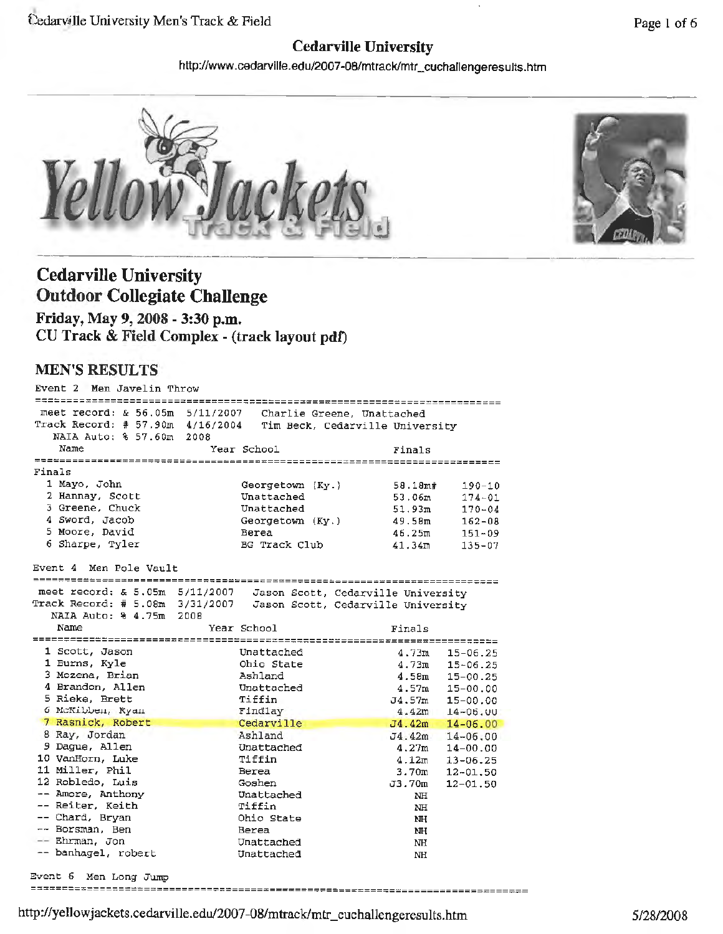### **Cedarville University**

http://www.cedarvi lie .edu/2007-08/mtrack/mtr\_cuchallengeresults.htm





# **Cedarville University Outdoor Collegiate Challenge**

**Friday, May 9, 2008** - **3:30 p.m.**  CU **Track** & **Field Complex** - (track **layout pdt)** 

#### **MEN'S RESULTS**

| Men Javelin Throw<br>Event 2     |                                                               |                      |              |
|----------------------------------|---------------------------------------------------------------|----------------------|--------------|
| meet record: & 56.05m 5/11/2007  |                                                               | ==================== |              |
| Track Record: # 57.90m 4/16/2004 | Charlie Greene, Unattached<br>Tim Beck, Cedarville University |                      |              |
| NAIA Auto: % 57.60m<br>2008      |                                                               |                      |              |
| Name                             | Year School                                                   | Finals               |              |
|                                  |                                                               |                      |              |
| Finals                           |                                                               |                      |              |
| 1 Mayo, John                     | Georgetown (Ky.)                                              | 58.18m#              | 190-10       |
| 2 Hannay, Scott                  | Unattached                                                    | 53.06m               | $174 - 01$   |
| 3 Greene, Chuck                  | Unattached                                                    | 51.93m               | $170 - 04$   |
| 4 Sword, Jacob                   | Georgetown (Ky.)                                              | 49.58m               | $162 - 08$   |
| 5 Moore, David                   | Berea                                                         | 46.25m               | $151 - 09$   |
| 6 Sharpe, Tyler                  | <b>BG</b> Track Club                                          | 41.34m               | $135 - 07$   |
|                                  |                                                               |                      |              |
| Event 4 Men Pole Vault           |                                                               |                      |              |
|                                  |                                                               |                      |              |
| meet record: & 5.05m 5/11/2007   | Jason Scott, Cedarville University                            |                      |              |
| Track Record: # 5.08m 3/31/2007  | Jason Scott, Cedarville University                            |                      |              |
| NAIA Auto: % 4.75m 2008<br>Name  |                                                               |                      |              |
|                                  | Year School                                                   | Finals               |              |
| 1 Scott, Jason                   | Unattached                                                    | 4.73m                | $15 - 06.25$ |
| 1 Burns, Kyle                    | Ohio State                                                    | 4.73m                | $15 - 06.25$ |
| 3 Mozena, Brian                  | Ashland                                                       | 4.58m                | $15 - 00.25$ |
| 4 Brandon, Allen                 | Unattached                                                    | 4.57m                | $15 - 00.00$ |
| 5 Rieke, Brett                   | Tiffin                                                        | J4.57m               | $15 - 00.00$ |
| 6 McKibben, Ryan                 | Findlay                                                       | 4.42m                | $14 - 06.00$ |
| 7 Rasnick, Robert                | Cedarville                                                    | J4.42m               | $14 - 06.00$ |
| 8 Ray, Jordan                    | Ashland                                                       | $J4.42m$ 14-06.00    |              |
| 9 Dague, Allen                   | Unattached                                                    | 4.27m                | $14 - 00.00$ |
| 10 VanHorn, Luke                 | Tiffin                                                        | 4.12m                | $13 - 06.25$ |
| 11 Miller, Phil                  | Berea                                                         | 3.70m                | $12 - 01.50$ |
| 12 Robledo, Luis                 | Goshen                                                        | J3.70m               | $12 - 01.50$ |
| -- Amore, Anthony                | Unattached                                                    | NH                   |              |
| -- Reiter, Keith                 | Tiffin                                                        | <b>NH</b>            |              |
| -- Chard, Bryan                  | Ohio State                                                    | NH                   |              |
| -- Borsman, Ben                  | Berea                                                         | NH                   |              |
| -- Ehrman, Jon                   | Unattached                                                    | NH                   |              |
| -- banhagel, robert              | Unattached                                                    | NH                   |              |
|                                  |                                                               |                      |              |

Event 6 **Men** Long Jump

============== Page 1 of 6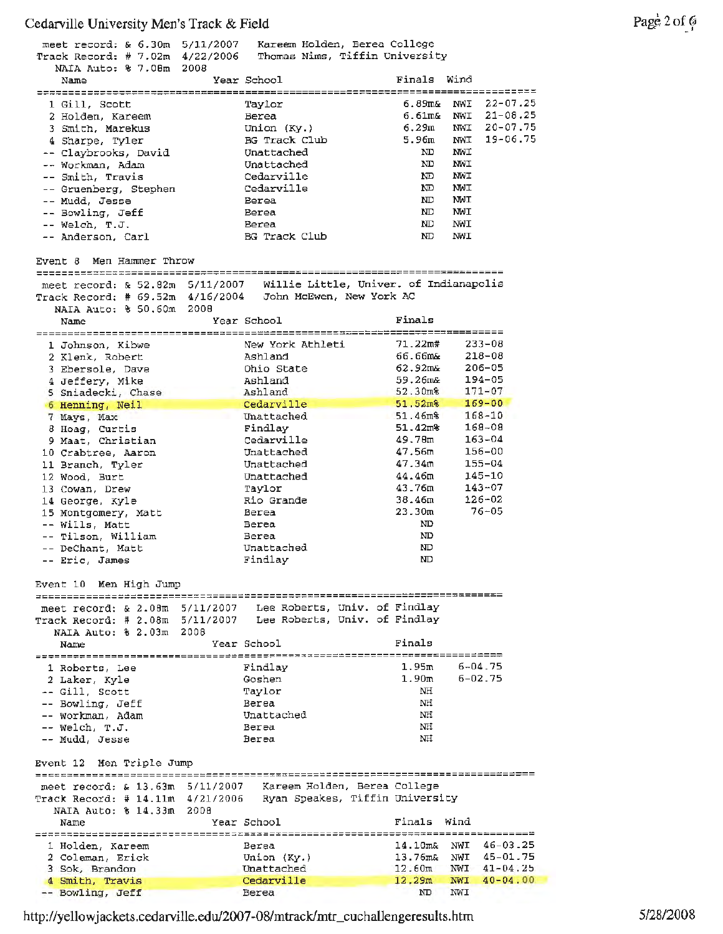| Track Record: # 7.02m 4/22/2006                                    | meet record: & 6.30m 5/11/2007 Kareem Holden, Berea College<br>Thomas Nims, Tiffin University |                                                              |
|--------------------------------------------------------------------|-----------------------------------------------------------------------------------------------|--------------------------------------------------------------|
| NAIA Auto: % 7.08m 2008<br>Name                                    | Year School                                                                                   | Finals Wind                                                  |
|                                                                    |                                                                                               |                                                              |
| 1 Gill, Scott                                                      | Taylor                                                                                        | $22 - 07.25$<br>6.89m&<br>NWI                                |
| 2 Holden, Kareem                                                   | Berea                                                                                         | $21 - 08.25$<br>6.61m& NWI                                   |
| 3 Smith, Marekus                                                   | Union $(Ky.)$                                                                                 | $20 - 07.75$<br>6.29m<br>NWI                                 |
| 4 Sharpe, Tyler                                                    | BG Track Club                                                                                 | 19-06.75<br>5.96m<br>NWI                                     |
| -- Claybrooks, David                                               | Unattached                                                                                    | NWI<br>ND                                                    |
| -- Workman, Adam                                                   | Unattached                                                                                    | ND<br>NWI                                                    |
| -- Smith, Travis                                                   | Cedarville                                                                                    | NWI<br>ND.                                                   |
| -- Gruenberg, Stephen                                              | Cedarville                                                                                    | MWI<br>ND.                                                   |
| -- Mudd, Jesse                                                     | Berea                                                                                         | NWI<br>ND                                                    |
| -- Bowling, Jeff                                                   | Berea                                                                                         | NWI<br>ND.                                                   |
| -- Welch, T.J.                                                     | Berea                                                                                         | NWI<br>ND.                                                   |
| -- Anderson, Carl                                                  | BG Track Club                                                                                 | ND.<br>NWI                                                   |
|                                                                    |                                                                                               |                                                              |
| Event 8 Men Hammer Throw                                           |                                                                                               |                                                              |
|                                                                    | meet record: & 52.82m 5/11/2007 Willie Little, Univer. of Indianapolis                        |                                                              |
| Track Record: # 69.52m 4/16/2004                                   | John McEwen, New York AC                                                                      |                                                              |
| NAIA Auto: % 50.60m 2008                                           |                                                                                               |                                                              |
| Name                                                               | Year School                                                                                   | Finals                                                       |
|                                                                    | New York Athleti                                                                              | 71.22m#<br>$233 - 08$                                        |
| 1 Johnson, Kibwe                                                   | Ashland                                                                                       | 66.66m&<br>$218 - 08$                                        |
| 2 Klenk, Robert                                                    | Ohio State                                                                                    | $62.92 \text{m}$<br>$206 - 05$                               |
| 3 Ebersole, Dave                                                   |                                                                                               | 194-05                                                       |
| 4 Jeffery, Mike                                                    | Ashland                                                                                       | 59.26m&<br>$171 - 07$                                        |
| 5 Sniadecki, Chase                                                 | Ashland                                                                                       | $52.30m$ <sup>8</sup><br>$51.52m$ <sup>8</sup><br>$169 - 00$ |
| 6 Henning, Neil                                                    | Cedarville                                                                                    |                                                              |
| 7 Mays, Max                                                        | Unattached                                                                                    | $51.46m$ <sup>8</sup><br>168-10<br>$168 - 08$                |
| 8 Hoag, Curtis                                                     | Findlay                                                                                       | 51.42 <sup>m</sup>                                           |
| 9 Maat, Christian                                                  | Cedarville                                                                                    | $163 - 04$<br>49.78m                                         |
| 10 Crabtree, Aaron                                                 | Unattached                                                                                    | 47.56m<br>156-00                                             |
| 11 Branch, Tyler                                                   | Unattached                                                                                    | 47.34 <sub>m</sub><br>$155 - 04$                             |
| 12 Wood, Burt                                                      | Unattached                                                                                    | 44.46m<br>145-10                                             |
| 13 Cowan, Drew                                                     | Taylor                                                                                        | 43.76m<br>$143 - 07$                                         |
| 14 George, Kyle                                                    | Rio Grande                                                                                    | $126 - 02$<br>38.46m                                         |
| 15 Montgomery, Matt                                                | Berea                                                                                         | 23.30m<br>$76 - 05$                                          |
| -- Wills, Matt                                                     | Berea                                                                                         | ND.                                                          |
| -- Tilson, William                                                 | Berea                                                                                         | ND                                                           |
| -- DeChant, Matt                                                   | Unattached                                                                                    | ND                                                           |
| -- Eric, James                                                     | Findlay                                                                                       | ND.                                                          |
| Event 10 Men High Jump                                             |                                                                                               |                                                              |
|                                                                    | meet record: & 2.08m 5/11/2007 Lee Roberts, Univ. of Findlay                                  |                                                              |
|                                                                    | Track Record: # 2.08m 5/11/2007 Lee Roberts, Univ. of Findlay                                 |                                                              |
| NAIA Auto: % 2.03m                                                 | 2008                                                                                          |                                                              |
| Name                                                               | Year School                                                                                   | Finals                                                       |
|                                                                    |                                                                                               |                                                              |
| 1 Roberts, Lee                                                     | Findlay                                                                                       | $6 - 04.75$<br>1.95m                                         |
| 2 Laker, Kyle                                                      | Goshen                                                                                        | $6 - 02.75$<br>1.90 <sub>m</sub>                             |
| -- Gill, Scott                                                     | Taylor                                                                                        | ΝH                                                           |
| -- Bowling, Jeff                                                   | Berea                                                                                         | NH                                                           |
| -- Workman, Adam                                                   | Unattached                                                                                    | ΝH                                                           |
| -- Welch. T.J.                                                     | Berea                                                                                         | NH                                                           |
| -- Mudd, Jesse                                                     | Berea                                                                                         | ΝH                                                           |
|                                                                    |                                                                                               |                                                              |
| Men Triple Jump<br>Event 12<br>=================================== |                                                                                               |                                                              |
| meet record: $\& 13.63m 5/11/2007$                                 | Kareem Holden, Berea College                                                                  |                                                              |
| Track Record: # 14.11m 4/21/2006                                   |                                                                                               | Ryan Speakes, Tiffin University                              |
| NAIA Auto: % 14.33m                                                | - 2008                                                                                        |                                                              |
| Name                                                               | Year School                                                                                   | Finals<br>Wind                                               |
|                                                                    |                                                                                               |                                                              |
| 1 Holden, Kareem                                                   | Berea                                                                                         | $46 - 03 - 25$<br>$14.10$ m&<br>NWI                          |
| 2 Coleman, Erick                                                   | Union $(Ky.)$                                                                                 | 13.76m& NWI 45-01.75                                         |
| 3 Sok, Brandon                                                     | Unattached                                                                                    | NWI 41-04.25<br>12.60m                                       |
| 4 Smith, Travis                                                    | Cedarville                                                                                    | 12.29m<br>$40 - 04.00$<br>NWI                                |
| -- Bowling, Jeff                                                   | Berea                                                                                         | ND<br>NWI                                                    |

http://yellowjackets.cedarville.edu/2007-08/mtrack/mtr\_cuchaUengeresults.htm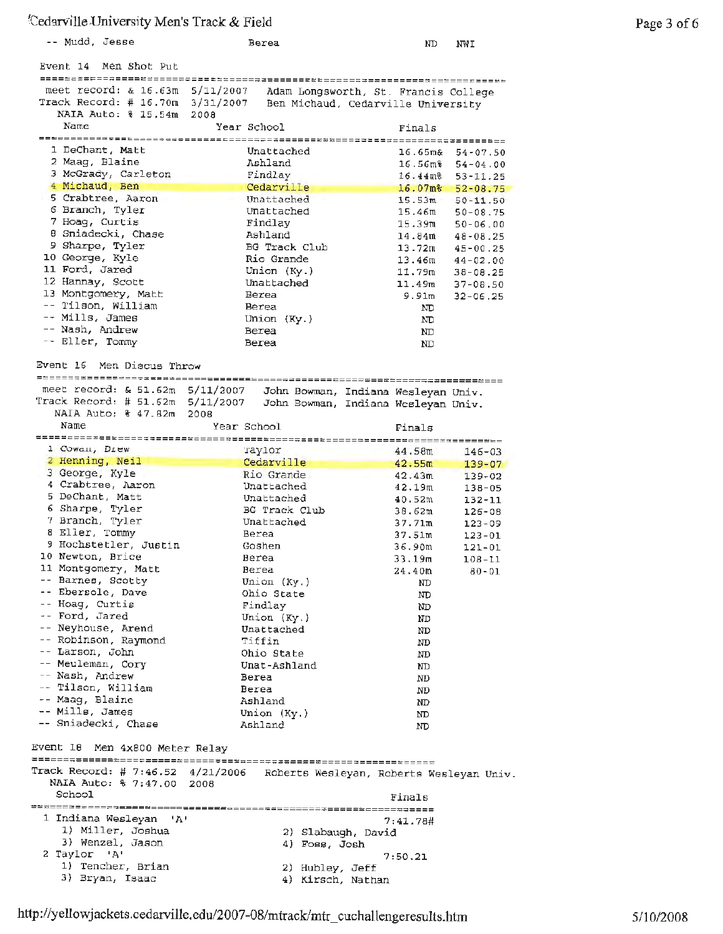| -- Mudd, Jesse                                                                                   | Berea                                                                      | ND<br>NWI                                        |
|--------------------------------------------------------------------------------------------------|----------------------------------------------------------------------------|--------------------------------------------------|
| Event 14 Men Shot Put                                                                            |                                                                            |                                                  |
| meet record: $\& 16.63m 5/11/2007$<br>Track Record: $\#$ 16.70m 3/31/2007<br>NAIA Auto: % 15.54m | Ben Michaud, Cedarville University<br>2008                                 | Adam Longsworth, St. Francis College             |
| Name                                                                                             | Year School                                                                | Finals                                           |
| 1 DeChant, Matt                                                                                  | Unattached                                                                 | 16.65ա&<br>$54 - 07.50$                          |
| 2 Maag, Blaine                                                                                   | Ashland                                                                    | 16.56ա%<br>$54 - 04.00$                          |
| 3 McGrady, Carleton<br>4 Michaud, Ben                                                            | Findlay                                                                    | $16.44$ m $\,$<br>$53 - 11.25$                   |
| 5 Crabtree, Aaron                                                                                | Cedarville<br>Unattached                                                   | $16.07m$ <sup>8</sup><br>$52 - 08.75$            |
| 6 Branch, Tyler                                                                                  | Unattached                                                                 | 15.53m<br>$50 - 11.50$<br>15.46m<br>$50 - 08.75$ |
| 7 Hoag, Curtis                                                                                   | Findlay                                                                    | 15.39m<br>$50 - 06.00$                           |
| 8 Sniadecki, Chase                                                                               | Ashland                                                                    | 14.84m<br>48-08.25                               |
| 9 Sharpe, Tyler                                                                                  | BG Track Club                                                              | 13.72m<br>$45 - 00.25$                           |
| 10 George, Kyle<br>11 Ford, Jared                                                                | Rio Grande<br>Union $(Ky.)$                                                | 13.46m<br>$44 - 02.00$                           |
| 12 Hannay, Scott                                                                                 | Unattached                                                                 | 11.79m<br>$38 - 09.25$<br>11.49m<br>$37 - 08.50$ |
| 13 Montgomery, Matt                                                                              | Berea                                                                      | 9.91m<br>$32 - 06.25$                            |
| -- Tilson, William                                                                               | Berea                                                                      | ND.                                              |
| -- Mills, James                                                                                  | Union $(Ky.)$                                                              | ND                                               |
| -- Nash, Andrew<br>-- Eller, Tommy                                                               | Berea                                                                      | ND                                               |
|                                                                                                  | Berea                                                                      | ND                                               |
| Event 16<br>Men Discus Throw                                                                     |                                                                            |                                                  |
| meet record: $\epsilon$ 51.62m                                                                   | 5/11/2007<br>John Bowman, Indiana Wesleyan Univ.                           |                                                  |
| Track Record: # 51.62m<br>NAIA Auto: % 47.82m                                                    | 5/11/2007<br>John Bowman, Indiana Wesleyan Univ.<br>2008                   |                                                  |
| Name                                                                                             | Year School                                                                | Finals                                           |
|                                                                                                  |                                                                            |                                                  |
| 1 Cowan, Drew<br>2 Henning, Neil                                                                 | Taylor<br>Cedarville                                                       | 44.58m<br>$146 - 03$<br>42.55m                   |
| 3 George, Kyle                                                                                   | Rio Grande                                                                 | $139 - 07$<br>42.43m<br>$139 - 02$               |
| 4 Crabtree, Aaron                                                                                | Unattached                                                                 | 42.19 <sub>m</sub><br>$138 - 05$                 |
| 5 DeChant, Matt                                                                                  | Unattached                                                                 | 40.52m<br>$132 - 11$                             |
| 6 Sharpe, Tyler                                                                                  | BG Track Club                                                              | 38.62m<br>126-08                                 |
| 7 Branch, Tyler<br>8 Eller, Tommy                                                                | Unattached<br>Berea                                                        | 37.71m<br>123-09                                 |
| 9 Hochstetler, Justin                                                                            | Goshen                                                                     | 37.51m<br>$123 - 01$<br>36.90m<br>$121 - 01$     |
| 10 Newton, Brice                                                                                 | Berea                                                                      | 33.19m<br>$108 - 11$                             |
| 11 Montgomery, Matt                                                                              | Berea                                                                      | 24.40m<br>$80 - 01$                              |
| -- Barnes, Scotty                                                                                | Union (Ky.)                                                                | ND                                               |
| -- Ebersole, Dave<br>-- Hoag, Curtis                                                             | Ohio State                                                                 | ND                                               |
| -- Ford, Jared                                                                                   | Findlay<br>Union (Ky.)                                                     | ND                                               |
| -- Neyhouse, Arend                                                                               | Unattached                                                                 | ND<br>ND                                         |
| -- Robinson, Raymond                                                                             | Tiffin                                                                     | ND                                               |
| -- Larson, John                                                                                  | Ohio State                                                                 | ND                                               |
| -- Meuleman, Cory                                                                                | Unat-Ashland                                                               | ND                                               |
| -- Nash, Andrew<br>-- Tilson, William                                                            | Berea<br>Berea                                                             | ND                                               |
| -- Maag, Blaine                                                                                  | Ashland                                                                    | ND<br>ND                                         |
| -- Mills, James                                                                                  | Union (Ky.)                                                                | ND                                               |
| -- Sniadecki, Chase                                                                              | Ashland                                                                    | ND                                               |
| Event 16 Men 4x800 Meter Relay                                                                   |                                                                            |                                                  |
|                                                                                                  | Track Record: # 7:46.52 4/21/2006 Roberts Wesleyan, Roberts Wesleyan Univ. |                                                  |
| NAIA Auto: % 7:47.00 2008<br>School                                                              |                                                                            | Finals                                           |
| 1 Indiana Wesleyan 'A'                                                                           |                                                                            |                                                  |
| 1) Miller, Joshua                                                                                | 2) Slabaugh, David                                                         | 7:41.78#                                         |
| 3) Wenzel, Jason                                                                                 | 4) Foss, Josh                                                              |                                                  |
| 2 Taylor 'A'                                                                                     |                                                                            | 7:50.21                                          |
| 1) Tencher, Brian<br>3) Bryan, Isaac                                                             | 2) Hubley, Jeff<br>4) Kirsch, Nathan                                       |                                                  |

**http:/** /yellowjackets. cedarville. edu/2007-08/mtrack/mtr \_ cuchallengeresults.htm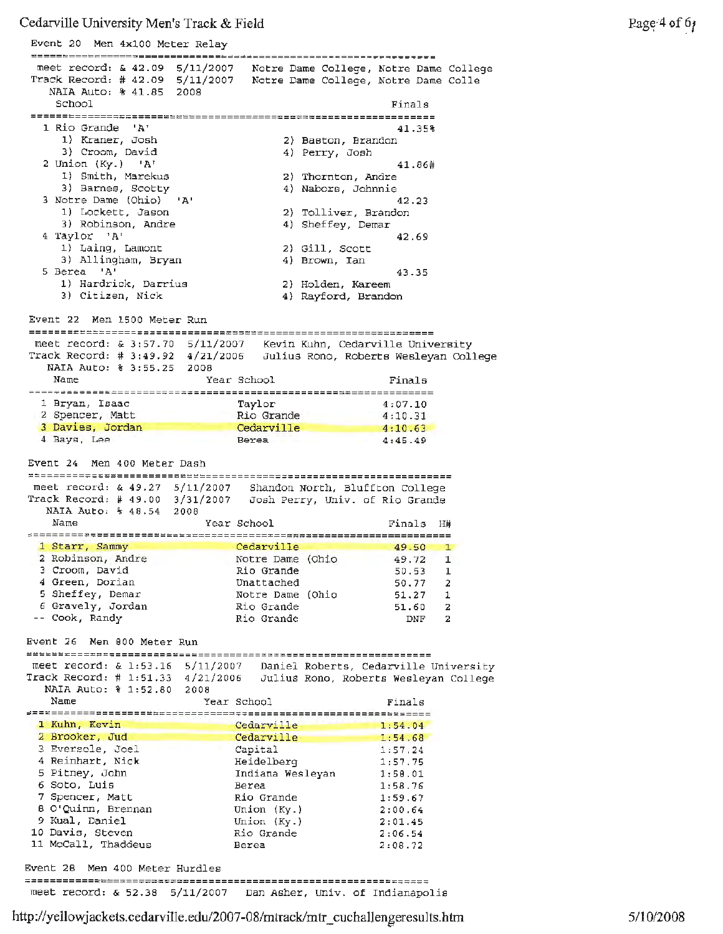Event 20 Men 4x100 Meter Relay meet record: & 42.09 5/11/2007 Notre Dame College, Notre Dame College Track Record: # 42.09 Notre Dame College, Notre Dame Colle 5/11/2007 NAIA Auto: % 41.85 2008 School Finals l Rio Grande 'A' 41.35% 2) Baston, Brandon 1) Kraner, Josh 3) Croom, David 4) Perry, Josh 2 union (Ky.) 'A' 41.86# 1) Smith, Marekus 2) Thornton, Andre 3) Barnes, Scotty 4) Nabors, Johnnie 3 Notre Dame (Ohio) 'A' 42.23 2) Tolliver, Brandon 1) Lockett, Jason 4) Sheffey, Demar 3) Robinson, Andre <sup>4</sup>Taylor 'A' 42.69 1) Laing, Lamont<br>3) Allingham, Bryan 2) Gill, Scott 3) Allingham, Bryan 4) Brown, Ian  $5 \text{ Berea}$  'A'  $43.35$ 1) Hardrick, Darrius 2) Holden, Kareem 3) Citizen, Nick 4) Rayford, Brandon Event 22 Men 1500 Meter Run meet record: & 3:57.70 5/11/2007 Kevin Kuhn, Cedarville University Track Record: # 3:49.92 4/21/2006 Julius Rona, Roberts Wesleyan College NAIA Auto: % 3:55.25 2008 Name Year School Finals 1 Bryan, Isaac Taylor 4:07.10 2 Spencer, Matt Rio Grande 4:10.31 <sup>3</sup>Davies, Jordan Cedarville  $4:10.63$ 4 Bays, Lee 4:45.49 Berea Event 24 Men 400 Meter Dash meet record: & 49.27 Shandon North, Bluffton College 5/11/2007 Track Record: # 49.00 Josh Perry, Univ. of Rio Grande 3/31/2007 NAIA Auto: % 48.54 2008 Year School Finals H# Name and the state of the state of the state of the state of the state of the state of the state of the state of the state of the state of the state of the state of the state of the state of the state of the state of the s 1 Starr, Sammy Cedarville 49.50 1 2 Robinson, Andre Notre Dame (Ohio 49.72 1 3 Croom, David Rio Grande 50.53 1 4 Green, Dorian Unattached 50.77 2 5 Sheffey, Demar Notre Dame (Ohio 51.27 1 6 Gravely, Jordan Rio Grande 51.60 2 Cook, Randy Rio Grande DNF 2 Event 26 Men 800 Meter Run meet record, & 1:53.16 5/11/2007 Daniel Roberts, Cedarville University Track Record, # 1:51.33 Julius Rono, Roberts Wesleyan College 4/21/2006 NAIA Auto: % 1:52.80 2008 Year School Finals Name Cedarville 1:54.04 **l Kuhn,** Kevin 2 Brooker, Jua Cedarville 1:54.68 <sup>3</sup>Eversole, Joel Capital 1:57.24 4 Reinhart, Nick Heidelberg 1:57.75 5 Pitney, John Indiana Wesleyan 1:58.01 6 Soto, Luis Berea 1:58.76 7 Spencer, Matt Rio Grande 1:59.67 <sup>8</sup>O'Quinn, Brennan Union (Ky.) 2:00.64 <sup>9</sup>Kual, Daniel Union (Ky.) 2:01.45 10 Davis, Steven *Rio* Grande 2:06.54 11 McCall, Thaddeus Berea 2: 08. 72 Event 28 Men 400 Meter Hurdles

meet record: & 52.38 5/11/2007 Dan Asher, Univ. of Indianapolis

http://yellowjackets.cedarville.edu/2007-08/mtrack/mtr\_cuchallengeresults.htm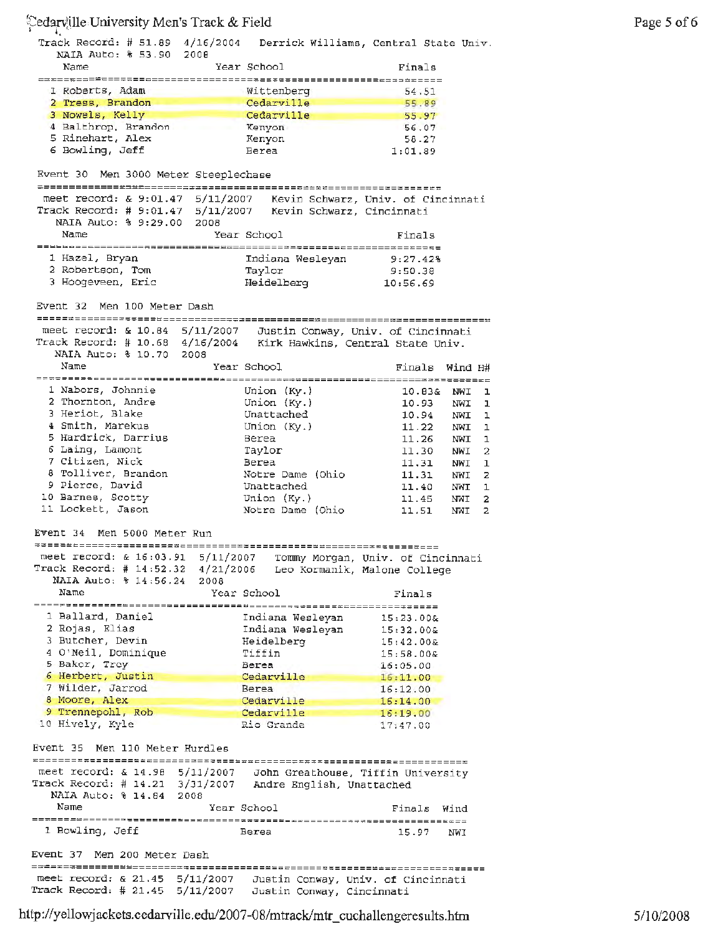'.;ed9rtille,University Men's Track & Field Track Record: # 51.89 4/16/2004 Derrick Williams, Central State Univ. **NAIA** Auto: % 53.90 2008 Name Year School Finals ---==-=---~--~-----------------------------------------~-------- l Roberts, Adam Wittenberg 54.51 **2** Tress, Brandon **Cedarville** 55.89 3 Nowels, Kelly **Cedarville Cedarville** 55.97 4 Balthrop, Brandon Kenyon 56.07<br>5 Rinehart, Alex Kenyon 58.27 5 Rinehart, Alex Kenyon 58.27 6 Bowling, Jeff Berea 1:01.89 Event 30 Men 3000 Meter Steeplechase meet record: & 9:01.47 5/11/2007 Kevin Schwarz, Univ. of Cincinnati Track Record: # 9:01.47 5/11/2007 Kevin Schwarz, Cincinnati **NAIA Auto: % 9:29.00**  2008 Name **The School** Primals (Primals Primals 1 Hazel, Bryan Indiana Wesleyan 9:27.42% 2 Robertson, Tom Taylor 9:50.38 <sup>3</sup>Hoogeveen, Eric Heidelberg 10:56.69 Event 32 Men 100 Meter Dash meet record: & 10.84 S/11/2007 Justin Conway, Univ. of Cincinnati Track Record: # 10.68 4/16/2004 Kirk Hawkins, Central State Univ. NAIA Auto: % 10.70 2008 Name Year School Finals Wind H# 1 Nabors, Johnnie Union (Ky.) 10.83& **NWI l**  2 Thornton, Andre Union {Ky.) 10.93 NWI 1 3 Heriot, Blake Unattached 10.94 NWI l **4** Smith, Marekus Union (Ky.) 11.22 NWI 1 <sup>5</sup>Hardrick, Darrius Berea 11. 26 NWI 1 **6** Laing, Lamont Taylor Taylor 11.30 NWI 2 7 Citizen, Nick Berea 11.31 NWI 1 8 Tolliver, Brandon Motre Dame (Ohio 11.31 NWI) 2 9 Pierce, David Contract Unattached 11.40 NWI 1 10 Barnes, Scotty Union (Ky.) 11.45 NWI 2 11 Lockett, Jason Notre Dame (Ohio 11.51 **NWI**  2 Event 34 Men 5000 Meter Run meet record: & 16:03.91 5/11/2007 Tommy Morgan, Univ. of Cincinnati Track Record: # 14:52.32 4/21/2006 Leo Kormanik, Malone College **NAIA** Auto, % 14:56.24 2008 Name Year School Finals ----~=--------====---=========----------~-======~=====----~===== l Ballard, Daniel Indiana Wesleyan 15:23.00& <sup>2</sup>Rojas, Elias Indiana Wesleyan 15:32.00& <sup>3</sup>Butcher, Devin Heidelberg 15:42.00& 4 O'Neil, Dominique Tiffin 15,58.00& 5 Baker, Trey Berea 16:05.00 6 Herbert, Justin **Cedarville** 15, 11.00 7 Wilder, Jarrod Berea 16:12.00 a Moore, **Alex**  Cedarville 16:14.00 9 Trennepohl, Rob Cedarville 16:19.00 Rio Grande 17:47.00 10 Hively, Kyle Event 35 Men 110 Meter Hurdles meet record: & 14.98 5/11/2007 John Greathouse, Tiffin University Track Record: # 14.21 3/31/2007 Andre English, Unattached **NAIA Auto: % 14.84 2008** 

Name Year School Finals Wind 1 Bowling, Jeff Event 37 Men 200 Meter Dash meet record, & 21.45 5/11/2007 Berea 15.97 NWI Justin Conway, Univ. of Cincinnati

Track Record: # 21.45 5/11/2007 Justin Conway, Cincinnati

http://yellowjackets.cedarville.edu/2007-08/mtrack/mtr\_cuchallengeresults.htm